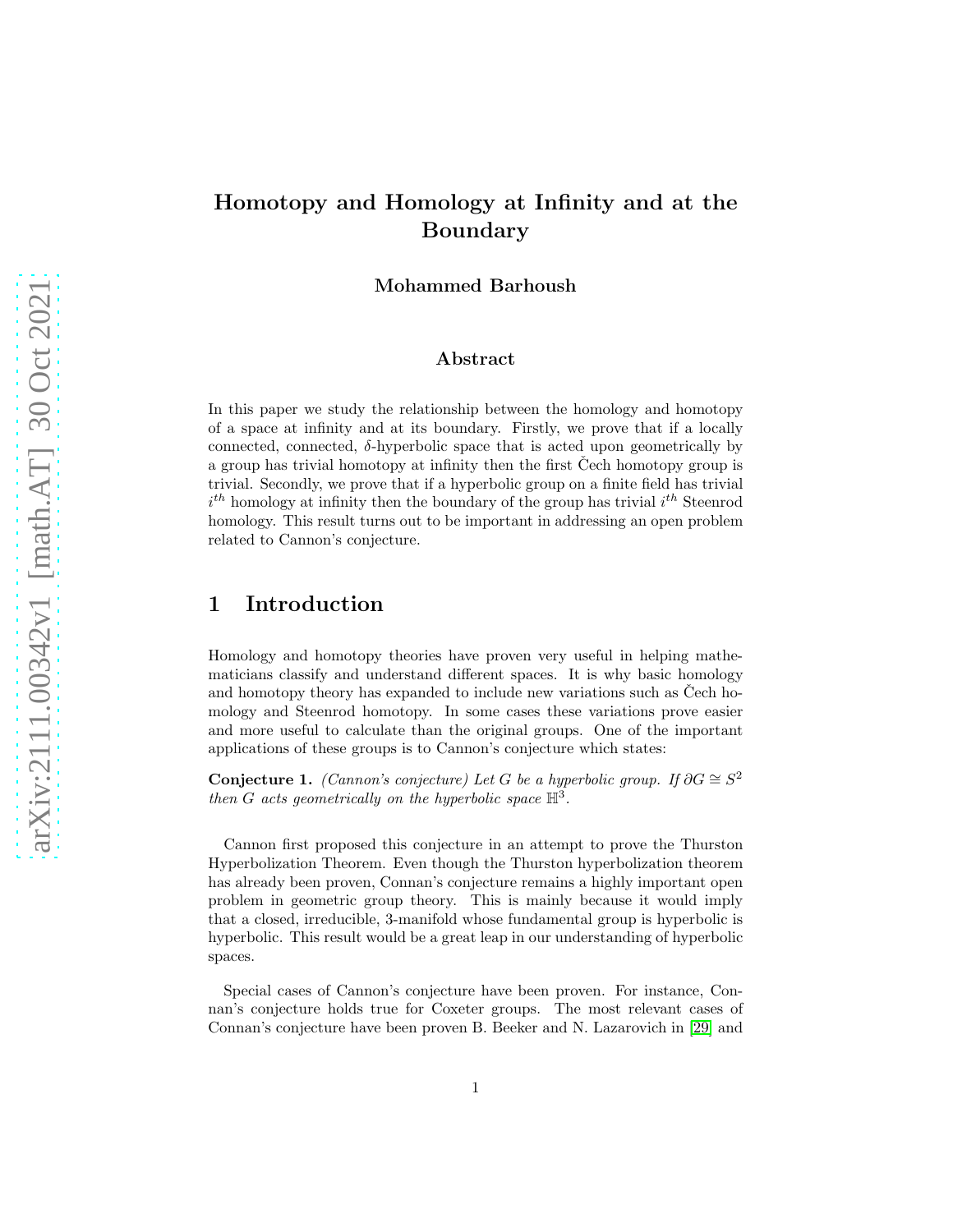# Homotopy and Homology at Infinity and at the Boundary

Mohammed Barhoush

#### Abstract

In this paper we study the relationship between the homology and homotopy of a space at infinity and at its boundary. Firstly, we prove that if a locally connected, connected,  $\delta$ -hyperbolic space that is acted upon geometrically by a group has trivial homotopy at infinity then the first Cech homotopy group is trivial. Secondly, we prove that if a hyperbolic group on a finite field has trivial  $i^{th}$  homology at infinity then the boundary of the group has trivial  $i^{th}$  Steenrod homology. This result turns out to be important in addressing an open problem related to Cannon's conjecture.

### 1 Introduction

Homology and homotopy theories have proven very useful in helping mathematicians classify and understand different spaces. It is why basic homology and homotopy theory has expanded to include new variations such as Čech homology and Steenrod homotopy. In some cases these variations prove easier and more useful to calculate than the original groups. One of the important applications of these groups is to Cannon's conjecture which states:

Conjecture 1. (Cannon's conjecture) Let G be a hyperbolic group. If  $\partial G \cong S^2$ then G acts geometrically on the hyperbolic space  $\mathbb{H}^3$ .

Cannon first proposed this conjecture in an attempt to prove the Thurston Hyperbolization Theorem. Even though the Thurston hyperbolization theorem has already been proven, Connan's conjecture remains a highly important open problem in geometric group theory. This is mainly because it would imply that a closed, irreducible, 3-manifold whose fundamental group is hyperbolic is hyperbolic. This result would be a great leap in our understanding of hyperbolic spaces.

Special cases of Cannon's conjecture have been proven. For instance, Connan's conjecture holds true for Coxeter groups. The most relevant cases of Connan's conjecture have been proven B. Beeker and N. Lazarovich in [\[29\]](#page-12-0) and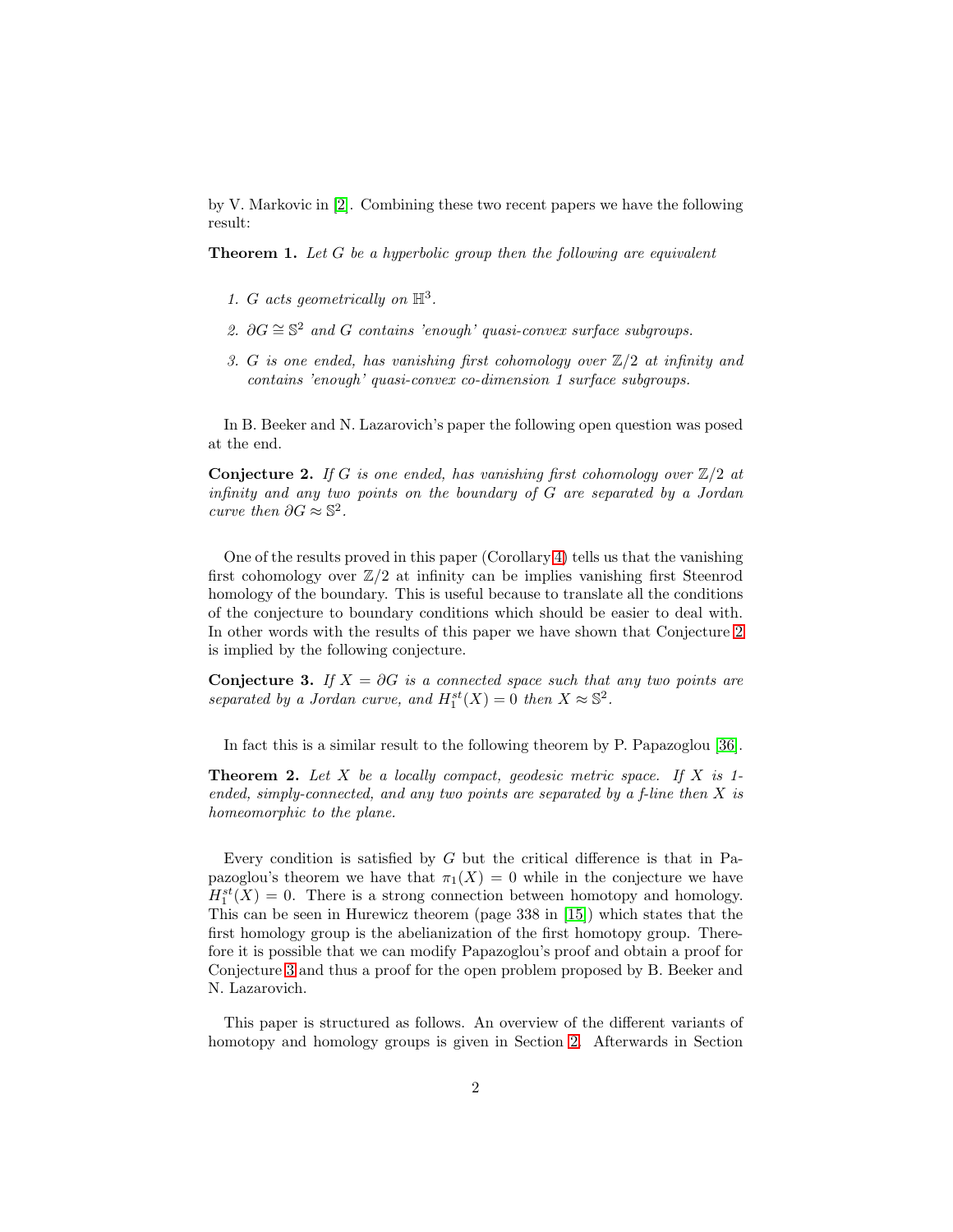by V. Markovic in [\[2\]](#page-11-0). Combining these two recent papers we have the following result:

**Theorem 1.** Let G be a hyperbolic group then the following are equivalent

- 1. G acts geometrically on  $\mathbb{H}^3$ .
- 2.  $\partial G \cong \mathbb{S}^2$  and G contains 'enough' quasi-convex surface subgroups.
- 3. G is one ended, has vanishing first cohomology over  $\mathbb{Z}/2$  at infinity and contains 'enough' quasi-convex co-dimension 1 surface subgroups.

In B. Beeker and N. Lazarovich's paper the following open question was posed at the end.

<span id="page-1-0"></span>**Conjecture 2.** If G is one ended, has vanishing first cohomology over  $\mathbb{Z}/2$  at infinity and any two points on the boundary of G are separated by a Jordan curve then  $\partial G\approx \mathbb{S}^2.$ 

One of the results proved in this paper (Corollary [4\)](#page-8-0) tells us that the vanishing first cohomology over  $\mathbb{Z}/2$  at infinity can be implies vanishing first Steenrod homology of the boundary. This is useful because to translate all the conditions of the conjecture to boundary conditions which should be easier to deal with. In other words with the results of this paper we have shown that Conjecture [2](#page-1-0) is implied by the following conjecture.

<span id="page-1-1"></span>**Conjecture 3.** If  $X = \partial G$  is a connected space such that any two points are separated by a Jordan curve, and  $H_1^{st}(X) = 0$  then  $X \approx \mathbb{S}^2$ .

In fact this is a similar result to the following theorem by P. Papazoglou [\[36\]](#page-13-0).

**Theorem 2.** Let X be a locally compact, geodesic metric space. If X is 1ended, simply-connected, and any two points are separated by a f-line then  $X$  is homeomorphic to the plane.

Every condition is satisfied by  $G$  but the critical difference is that in Papazoglou's theorem we have that  $\pi_1(X) = 0$  while in the conjecture we have  $H_1^{st}(X) = 0$ . There is a strong connection between homotopy and homology. This can be seen in Hurewicz theorem (page 338 in [\[15\]](#page-11-1)) which states that the first homology group is the abelianization of the first homotopy group. Therefore it is possible that we can modify Papazoglou's proof and obtain a proof for Conjecture [3](#page-1-1) and thus a proof for the open problem proposed by B. Beeker and N. Lazarovich.

This paper is structured as follows. An overview of the different variants of homotopy and homology groups is given in Section [2.](#page-2-0) Afterwards in Section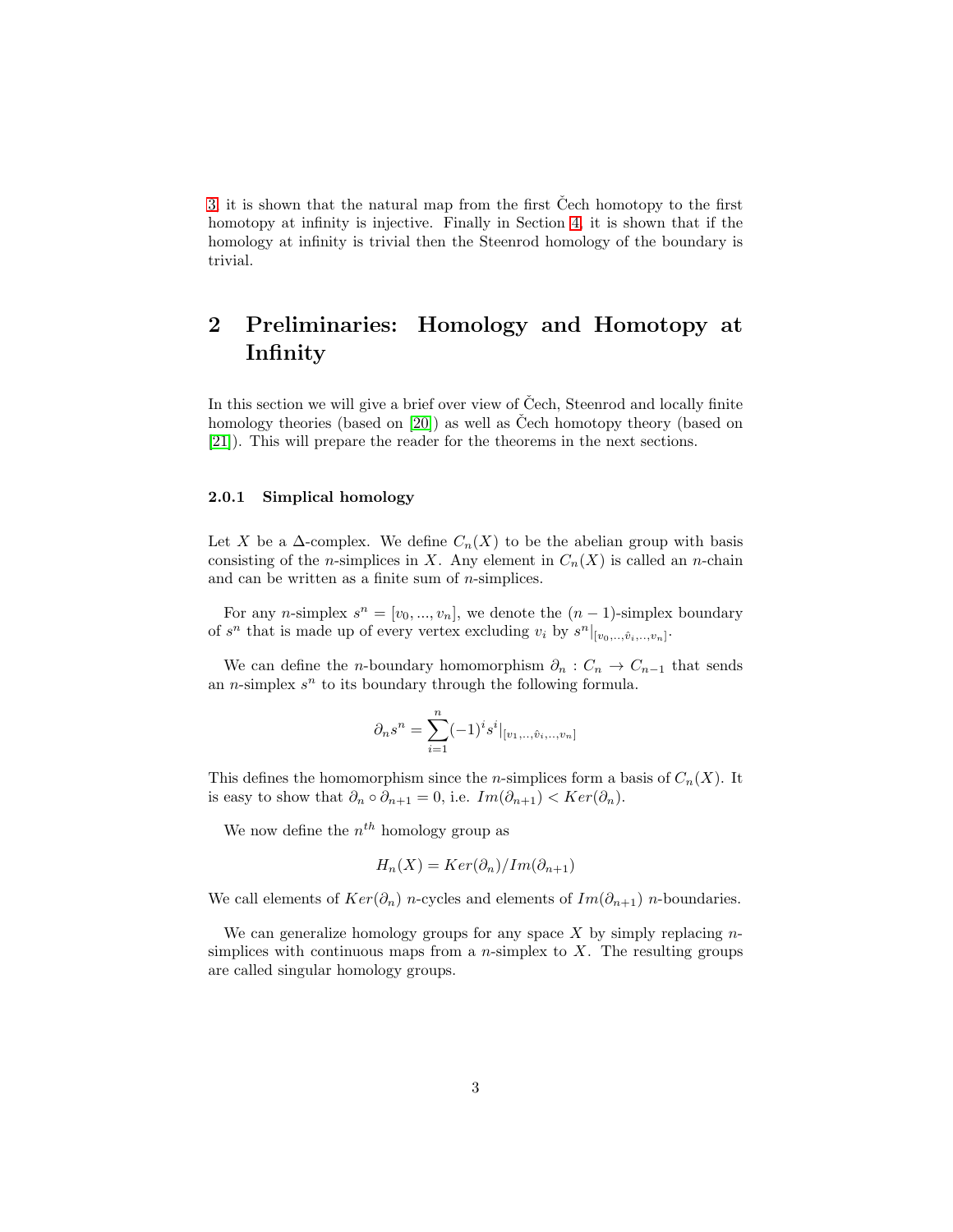[3,](#page-5-0) it is shown that the natural map from the first Čech homotopy to the first homotopy at infinity is injective. Finally in Section [4,](#page-8-0) it is shown that if the homology at infinity is trivial then the Steenrod homology of the boundary is trivial.

# <span id="page-2-0"></span>2 Preliminaries: Homology and Homotopy at Infinity

In this section we will give a brief over view of Čech, Steenrod and locally finite homology theories (based on  $[20]$ ) as well as Čech homotopy theory (based on [21]). This will prepare the reader for the theorems in the next sections.

#### 2.0.1 Simplical homology

Let X be a  $\Delta$ -complex. We define  $C_n(X)$  to be the abelian group with basis consisting of the *n*-simplices in X. Any element in  $C_n(X)$  is called an *n*-chain and can be written as a finite sum of  $n$ -simplices.

For any *n*-simplex  $s^n = [v_0, ..., v_n]$ , we denote the  $(n-1)$ -simplex boundary of  $s^n$  that is made up of every vertex excluding  $v_i$  by  $s^n|_{[v_0, \ldots, \hat{v}_i, \ldots, v_n]}$ .

We can define the n-boundary homomorphism  $\partial_n$ :  $C_n \to C_{n-1}$  that sends an *n*-simplex  $s^n$  to its boundary through the following formula.

$$
\partial_n s^n = \sum_{i=1}^n (-1)^i s^i |_{[v_1, \dots, \hat{v}_i, \dots, v_n]}
$$

This defines the homomorphism since the *n*-simplices form a basis of  $C_n(X)$ . It is easy to show that  $\partial_n \circ \partial_{n+1} = 0$ , i.e.  $Im(\partial_{n+1}) < Ker(\partial_n)$ .

We now define the  $n^{th}$  homology group as

$$
H_n(X) = Ker(\partial_n)/Im(\partial_{n+1})
$$

We call elements of  $Ker(\partial_n)$  n-cycles and elements of  $Im(\partial_{n+1})$  n-boundaries.

We can generalize homology groups for any space  $X$  by simply replacing  $n$ simplices with continuous maps from a *n*-simplex to  $X$ . The resulting groups are called singular homology groups.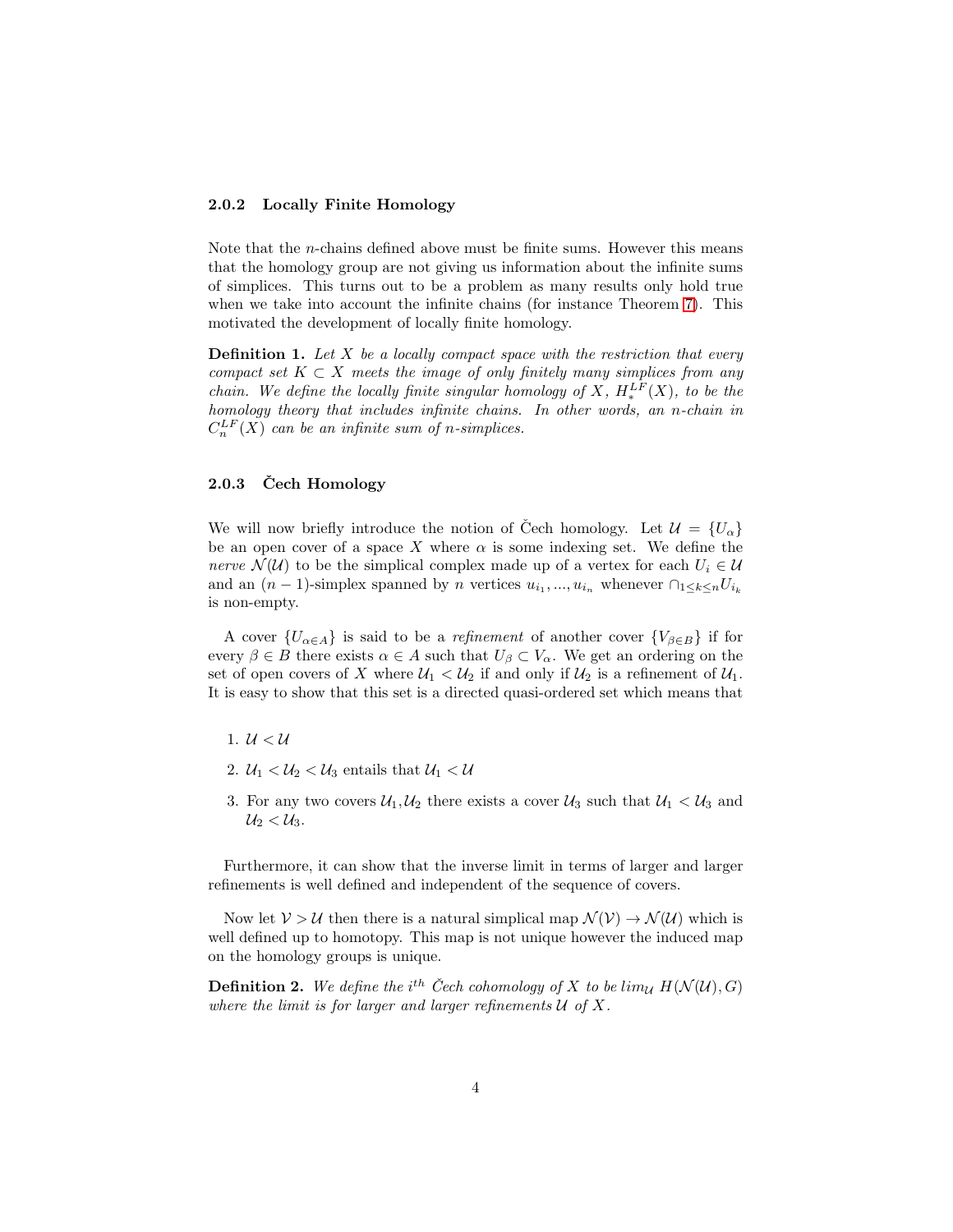#### 2.0.2 Locally Finite Homology

Note that the n-chains defined above must be finite sums. However this means that the homology group are not giving us information about the infinite sums of simplices. This turns out to be a problem as many results only hold true when we take into account the infinite chains (for instance Theorem [7\)](#page-8-1). This motivated the development of locally finite homology.

**Definition 1.** Let  $X$  be a locally compact space with the restriction that every compact set  $K \subset X$  meets the image of only finitely many simplices from any chain. We define the locally finite singular homology of X,  $H_*^{LF}(X)$ , to be the homology theory that includes infinite chains. In other words, an n-chain in  $C_n^{LF}(X)$  can be an infinite sum of n-simplices.

#### $2.0.3$  Čech Homology

We will now briefly introduce the notion of Čech homology. Let  $\mathcal{U} = \{U_{\alpha}\}\$ be an open cover of a space X where  $\alpha$  is some indexing set. We define the nerve  $\mathcal{N}(\mathcal{U})$  to be the simplical complex made up of a vertex for each  $U_i \in \mathcal{U}$ and an  $(n-1)$ -simplex spanned by n vertices  $u_{i_1},...,u_{i_n}$  whenever  $\bigcap_{1\leq k\leq n}U_{i_k}$ is non-empty.

A cover  $\{U_{\alpha \in A}\}\$ is said to be a *refinement* of another cover  $\{V_{\beta \in B}\}\$ if for every  $\beta \in B$  there exists  $\alpha \in A$  such that  $U_{\beta} \subset V_{\alpha}$ . We get an ordering on the set of open covers of X where  $\mathcal{U}_1 < \mathcal{U}_2$  if and only if  $\mathcal{U}_2$  is a refinement of  $\mathcal{U}_1$ . It is easy to show that this set is a directed quasi-ordered set which means that

- 1.  $U < U$
- 2.  $\mathcal{U}_1 < \mathcal{U}_2 < \mathcal{U}_3$  entails that  $\mathcal{U}_1 < \mathcal{U}_2$
- 3. For any two covers  $\mathcal{U}_1, \mathcal{U}_2$  there exists a cover  $\mathcal{U}_3$  such that  $\mathcal{U}_1 < \mathcal{U}_3$  and  $U_2 < U_3$ .

Furthermore, it can show that the inverse limit in terms of larger and larger refinements is well defined and independent of the sequence of covers.

Now let  $V > U$  then there is a natural simplical map  $\mathcal{N}(V) \to \mathcal{N}(U)$  which is well defined up to homotopy. This map is not unique however the induced map on the homology groups is unique.

**Definition 2.** We define the i<sup>th</sup> Čech cohomology of X to be lim<sub>U</sub>  $H(\mathcal{N}(\mathcal{U}), G)$ where the limit is for larger and larger refinements  $U$  of  $X$ .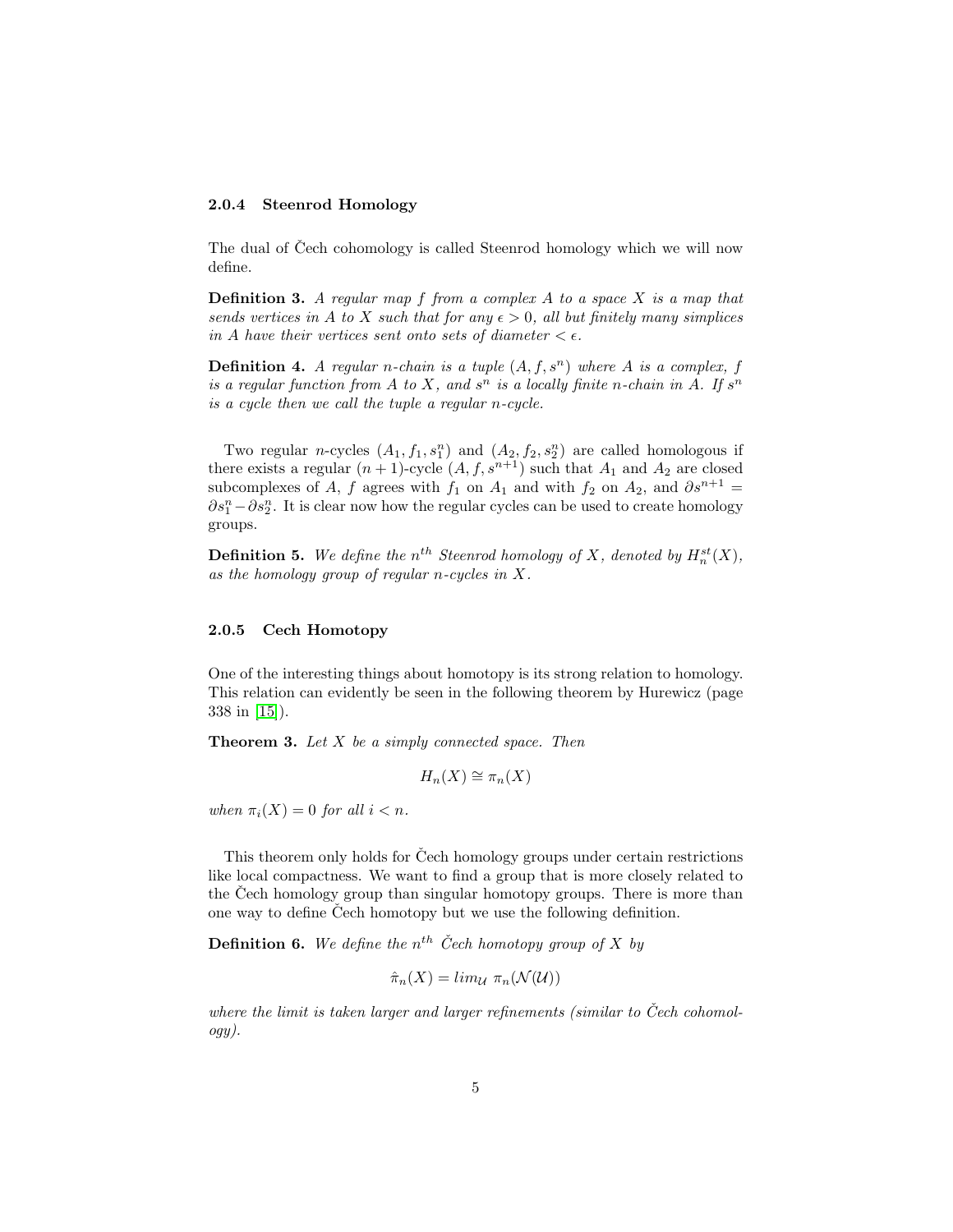#### 2.0.4 Steenrod Homology

The dual of Čech cohomology is called Steenrod homology which we will now define.

**Definition 3.** A regular map  $f$  from a complex  $A$  to a space  $X$  is a map that sends vertices in A to X such that for any  $\epsilon > 0$ , all but finitely many simplices in A have their vertices sent onto sets of diameter  $\lt \epsilon$ .

**Definition 4.** A regular n-chain is a tuple  $(A, f, s^n)$  where A is a complex, f is a regular function from A to X, and  $s^n$  is a locally finite n-chain in A. If  $s^n$ is a cycle then we call the tuple a regular n-cycle.

Two regular *n*-cycles  $(A_1, f_1, s_1^n)$  and  $(A_2, f_2, s_2^n)$  are called homologous if there exists a regular  $(n + 1)$ -cycle  $(A, f, s^{n+1})$  such that  $A_1$  and  $A_2$  are closed subcomplexes of A, f agrees with  $f_1$  on  $A_1$  and with  $f_2$  on  $A_2$ , and  $\partial s^{n+1} =$  $\partial s_1^n - \partial s_2^n$ . It is clear now how the regular cycles can be used to create homology groups.

**Definition 5.** We define the  $n^{th}$  Steenrod homology of X, denoted by  $H_n^{st}(X)$ , as the homology group of regular n-cycles in  $X$ .

#### 2.0.5 Cech Homotopy

One of the interesting things about homotopy is its strong relation to homology. This relation can evidently be seen in the following theorem by Hurewicz (page 338 in [\[15\]](#page-11-1)).

**Theorem 3.** Let  $X$  be a simply connected space. Then

$$
H_n(X) \cong \pi_n(X)
$$

when  $\pi_i(X) = 0$  for all  $i < n$ .

This theorem only holds for Cech homology groups under certain restrictions like local compactness. We want to find a group that is more closely related to the Cech homology group than singular homotopy groups. There is more than one way to define Cech homotopy but we use the following definition.

**Definition 6.** We define the  $n^{th}$  Čech homotopy group of X by

$$
\hat{\pi}_n(X) = \lim_{\mathcal{U}} \pi_n(\mathcal{N}(\mathcal{U}))
$$

where the limit is taken larger and larger refinements (similar to Čech cohomology).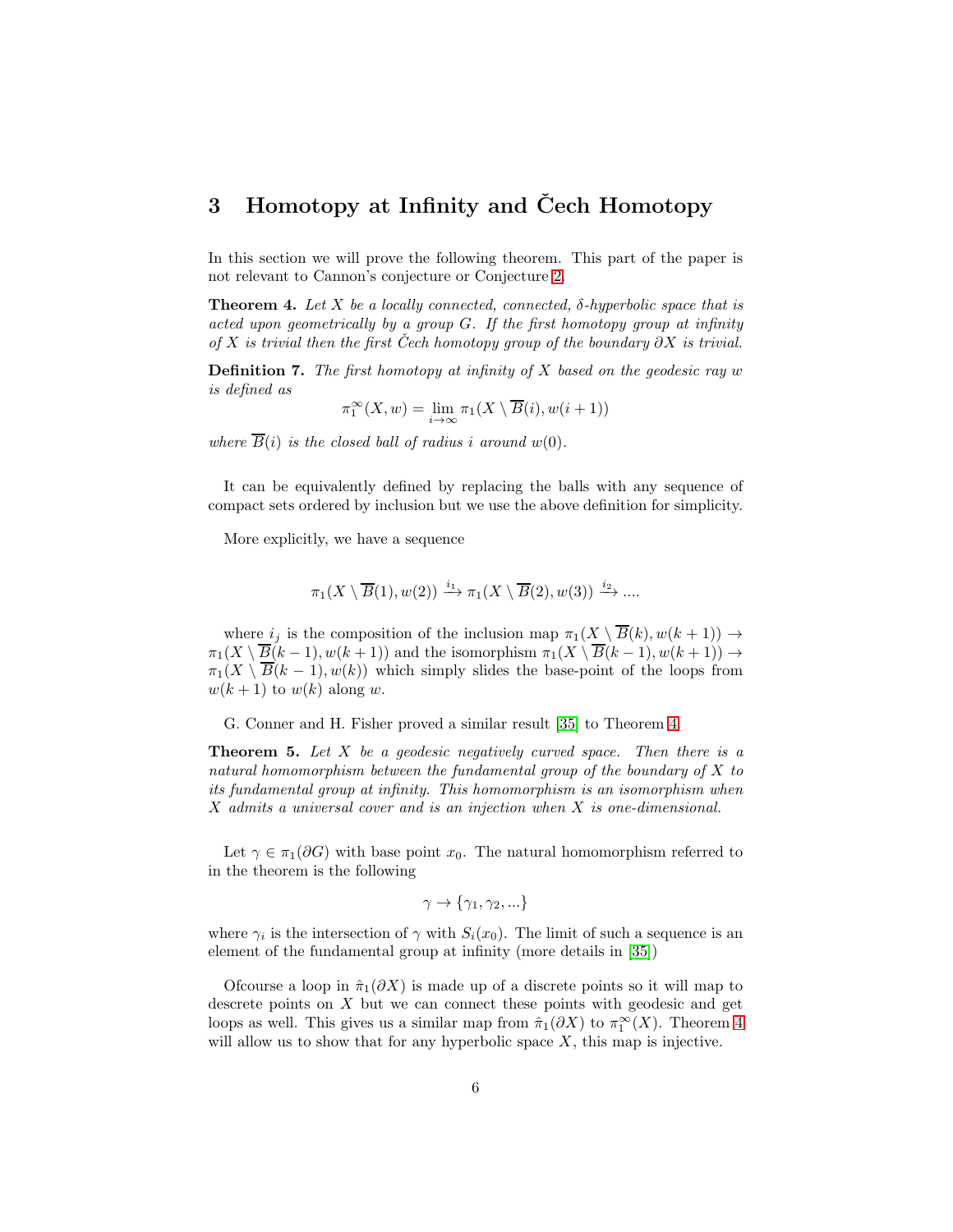## <span id="page-5-0"></span>3 Homotopy at Infinity and Čech Homotopy

In this section we will prove the following theorem. This part of the paper is not relevant to Cannon's conjecture or Conjecture [2.](#page-1-0)

<span id="page-5-1"></span>**Theorem 4.** Let X be a locally connected, connected,  $\delta$ -hyperbolic space that is acted upon geometrically by a group G. If the first homotopy group at infinity of X is trivial then the first Cech homotopy group of the boundary  $\partial X$  is trivial.

**Definition 7.** The first homotopy at infinity of X based on the geodesic ray  $w$ is defined as

$$
\pi_1^{\infty}(X, w) = \lim_{i \to \infty} \pi_1(X \setminus \overline{B}(i), w(i+1))
$$

where  $\overline{B}(i)$  is the closed ball of radius i around  $w(0)$ .

It can be equivalently defined by replacing the balls with any sequence of compact sets ordered by inclusion but we use the above definition for simplicity.

More explicitly, we have a sequence

$$
\pi_1(X \setminus \overline{B}(1), w(2)) \xrightarrow{i_1} \pi_1(X \setminus \overline{B}(2), w(3)) \xrightarrow{i_2} \dots
$$

where  $i_j$  is the composition of the inclusion map  $\pi_1(X \setminus \overline{B}(k), w(k+1)) \to$  $\pi_1(X \setminus \overline{B(k-1)}, w(k+1))$  and the isomorphism  $\pi_1(X \setminus \overline{B(k-1)}, w(k+1)) \rightarrow$  $\pi_1(X \setminus \overline{B}(k-1), w(k))$  which simply slides the base-point of the loops from  $w(k+1)$  to  $w(k)$  along w.

G. Conner and H. Fisher proved a similar result [\[35\]](#page-13-1) to Theorem [4.](#page-5-1)

**Theorem 5.** Let  $X$  be a geodesic negatively curved space. Then there is a natural homomorphism between the fundamental group of the boundary of X to its fundamental group at infinity. This homomorphism is an isomorphism when X admits a universal cover and is an injection when X is one-dimensional.

Let  $\gamma \in \pi_1(\partial G)$  with base point  $x_0$ . The natural homomorphism referred to in the theorem is the following

$$
\gamma \to \{\gamma_1, \gamma_2, \ldots\}
$$

where  $\gamma_i$  is the intersection of  $\gamma$  with  $S_i(x_0)$ . The limit of such a sequence is an element of the fundamental group at infinity (more details in [\[35\]](#page-13-1))

Ofcourse a loop in  $\hat{\pi}_1(\partial X)$  is made up of a discrete points so it will map to descrete points on X but we can connect these points with geodesic and get loops as well. This gives us a similar map from  $\hat{\pi}_1(\partial X)$  to  $\pi_1^{\infty}(X)$ . Theorem [4](#page-5-1) will allow us to show that for any hyperbolic space  $X$ , this map is injective.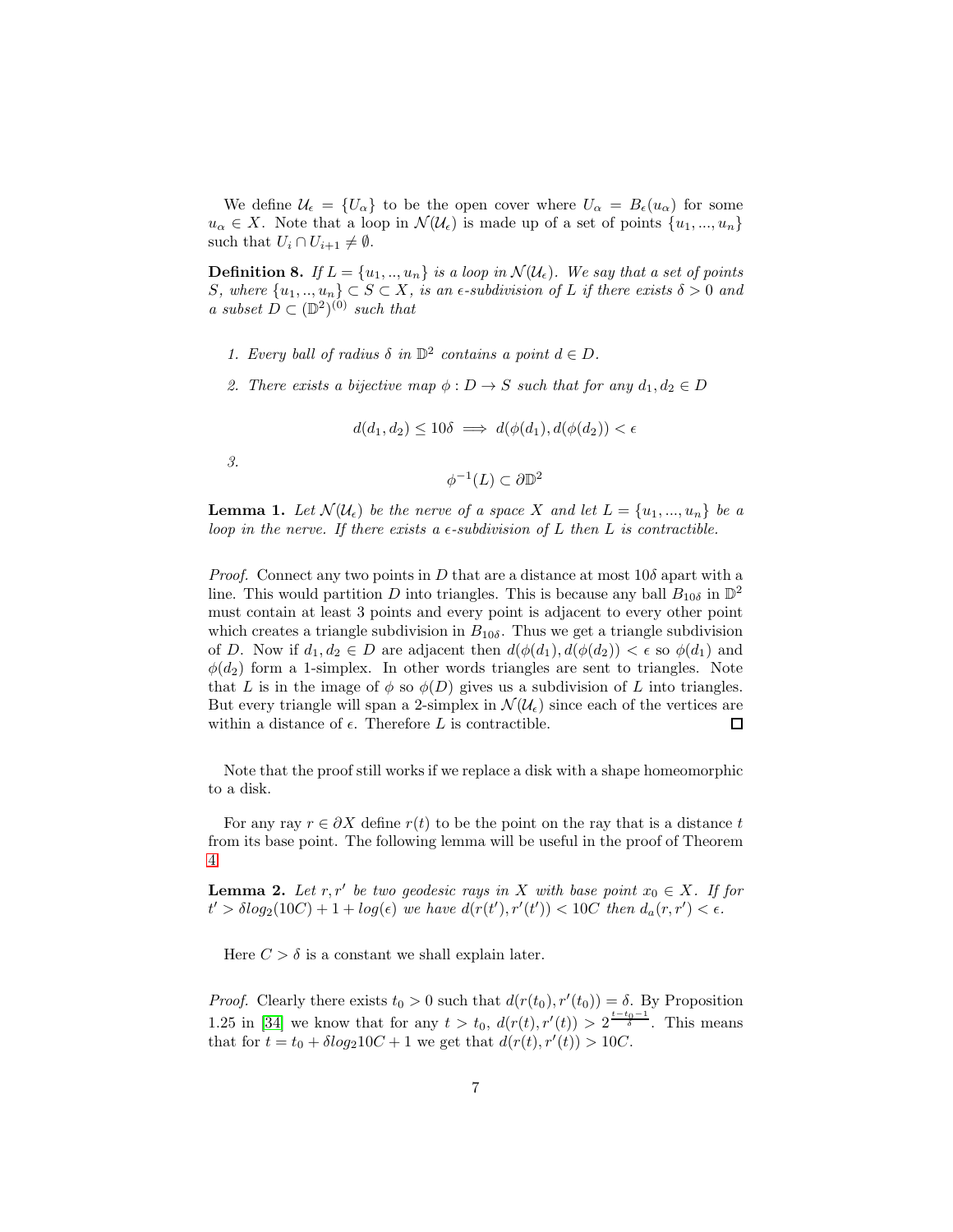We define  $\mathcal{U}_{\epsilon} = \{U_{\alpha}\}\)$  to be the open cover where  $U_{\alpha} = B_{\epsilon}(u_{\alpha})\)$  for some  $u_{\alpha} \in X$ . Note that a loop in  $\mathcal{N}(\mathcal{U}_{\epsilon})$  is made up of a set of points  $\{u_1, ..., u_n\}$ such that  $U_i \cap U_{i+1} \neq \emptyset$ .

<span id="page-6-0"></span>**Definition 8.** If  $L = \{u_1, ..., u_n\}$  is a loop in  $\mathcal{N}(\mathcal{U}_{\epsilon})$ . We say that a set of points S, where  $\{u_1, \ldots, u_n\} \subset S \subset X$ , is an  $\epsilon$ -subdivision of L if there exists  $\delta > 0$  and a subset  $\tilde{D} \subset (\mathbb{D}^2)^{(0)}$  such that

- 1. Every ball of radius  $\delta$  in  $\mathbb{D}^2$  contains a point  $d \in D$ .
- 2. There exists a bijective map  $\phi : D \to S$  such that for any  $d_1, d_2 \in D$

$$
d(d_1, d_2) \le 10\delta \implies d(\phi(d_1), d(\phi(d_2)) < \epsilon)
$$

3.

$$
\phi^{-1}(L) \subset \partial \mathbb{D}^2
$$

<span id="page-6-2"></span>**Lemma 1.** Let  $\mathcal{N}(\mathcal{U}_{\epsilon})$  be the nerve of a space X and let  $L = \{u_1, ..., u_n\}$  be a loop in the nerve. If there exists a  $\epsilon$ -subdivision of L then L is contractible.

*Proof.* Connect any two points in D that are a distance at most  $10\delta$  apart with a line. This would partition D into triangles. This is because any ball  $B_{10\delta}$  in  $\mathbb{D}^2$ must contain at least 3 points and every point is adjacent to every other point which creates a triangle subdivision in  $B_{10\delta}$ . Thus we get a triangle subdivision of D. Now if  $d_1, d_2 \in D$  are adjacent then  $d(\phi(d_1), d(\phi(d_2))) < \epsilon$  so  $\phi(d_1)$  and  $\phi(d_2)$  form a 1-simplex. In other words triangles are sent to triangles. Note that L is in the image of  $\phi$  so  $\phi(D)$  gives us a subdivision of L into triangles. But every triangle will span a 2-simplex in  $\mathcal{N}(\mathcal{U}_{\epsilon})$  since each of the vertices are within a distance of  $\epsilon$ . Therefore L is contractible.  $\Box$ 

Note that the proof still works if we replace a disk with a shape homeomorphic to a disk.

For any ray  $r \in \partial X$  define  $r(t)$  to be the point on the ray that is a distance t from its base point. The following lemma will be useful in the proof of Theorem [4.](#page-5-1)

<span id="page-6-1"></span>**Lemma 2.** Let r, r' be two geodesic rays in X with base point  $x_0 \in X$ . If for  $t' > \delta log_2(10C) + 1 + log(\epsilon)$  we have  $d(r(t'), r'(t')) < 10C$  then  $d_a(r, r') < \epsilon$ .

Here  $C > \delta$  is a constant we shall explain later.

*Proof.* Clearly there exists  $t_0 > 0$  such that  $d(r(t_0), r'(t_0)) = \delta$ . By Proposition 1.25 in [\[34\]](#page-13-2) we know that for any  $t > t_0$ ,  $d(r(t), r'(t)) > 2^{\frac{t-t_0-1}{\delta}}$ . This means that for  $t = t_0 + \delta \log_2 10C + 1$  we get that  $d(r(t), r'(t)) > 10C$ .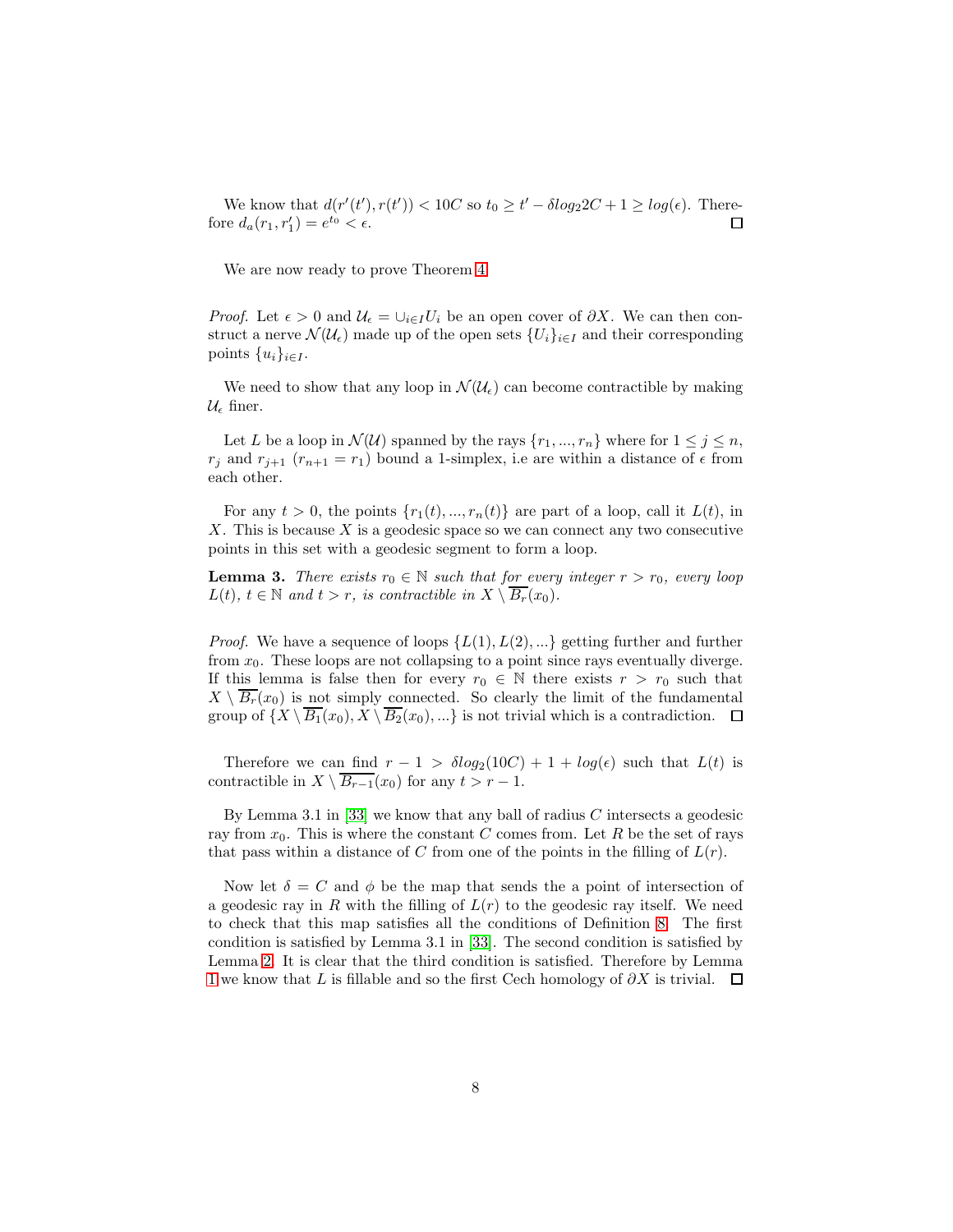We know that  $d(r'(t'), r(t')) < 10C$  so  $t_0 \ge t' - \delta log_2 2C + 1 \ge log(\epsilon)$ . Therefore  $d_a(r_1, r'_1) = e^{t_0} < \epsilon$ .  $\Box$ 

We are now ready to prove Theorem [4.](#page-5-1)

*Proof.* Let  $\epsilon > 0$  and  $\mathcal{U}_{\epsilon} = \bigcup_{i \in I} U_i$  be an open cover of  $\partial X$ . We can then construct a nerve  $\mathcal{N}(\mathcal{U}_{\epsilon})$  made up of the open sets  $\{U_i\}_{i\in I}$  and their corresponding points  $\{u_i\}_{i\in I}$ .

We need to show that any loop in  $\mathcal{N}(\mathcal{U}_{\epsilon})$  can become contractible by making  $\mathcal{U}_{\epsilon}$  finer.

Let L be a loop in  $\mathcal{N}(\mathcal{U})$  spanned by the rays  $\{r_1, ..., r_n\}$  where for  $1 \leq j \leq n$ ,  $r_j$  and  $r_{j+1}$   $(r_{n+1} = r_1)$  bound a 1-simplex, i.e are within a distance of  $\epsilon$  from each other.

For any  $t > 0$ , the points  $\{r_1(t), ..., r_n(t)\}\$  are part of a loop, call it  $L(t)$ , in  $X$ . This is because  $X$  is a geodesic space so we can connect any two consecutive points in this set with a geodesic segment to form a loop.

**Lemma 3.** There exists  $r_0 \in \mathbb{N}$  such that for every integer  $r > r_0$ , every loop  $L(t)$ ,  $t \in \mathbb{N}$  and  $t > r$ , is contractible in  $X \setminus B_r(x_0)$ .

*Proof.* We have a sequence of loops  $\{L(1), L(2), ...\}$  getting further and further from  $x_0$ . These loops are not collapsing to a point since rays eventually diverge. If this lemma is false then for every  $r_0 \in \mathbb{N}$  there exists  $r > r_0$  such that  $X \setminus \overline{B_r}(x_0)$  is not simply connected. So clearly the limit of the fundamental group of  $\{X \setminus \overline{B_1}(x_0), X \setminus \overline{B_2}(x_0), ...\}$  is not trivial which is a contradiction.  $\Box$ 

Therefore we can find  $r - 1 > \delta \log_2(10C) + 1 + \log(\epsilon)$  such that  $L(t)$  is contractible in  $X \setminus \overline{B_{r-1}}(x_0)$  for any  $t > r - 1$ .

By Lemma 3.1 in [\[33\]](#page-12-1) we know that any ball of radius  $C$  intersects a geodesic ray from  $x_0$ . This is where the constant C comes from. Let R be the set of rays that pass within a distance of C from one of the points in the filling of  $L(r)$ .

Now let  $\delta = C$  and  $\phi$  be the map that sends the a point of intersection of a geodesic ray in R with the filling of  $L(r)$  to the geodesic ray itself. We need to check that this map satisfies all the conditions of Definition [8.](#page-6-0) The first condition is satisfied by Lemma 3.1 in [\[33\]](#page-12-1). The second condition is satisfied by Lemma [2.](#page-6-1) It is clear that the third condition is satisfied. Therefore by Lemma [1](#page-6-2) we know that L is fillable and so the first Cech homology of  $\partial X$  is trivial.  $\Box$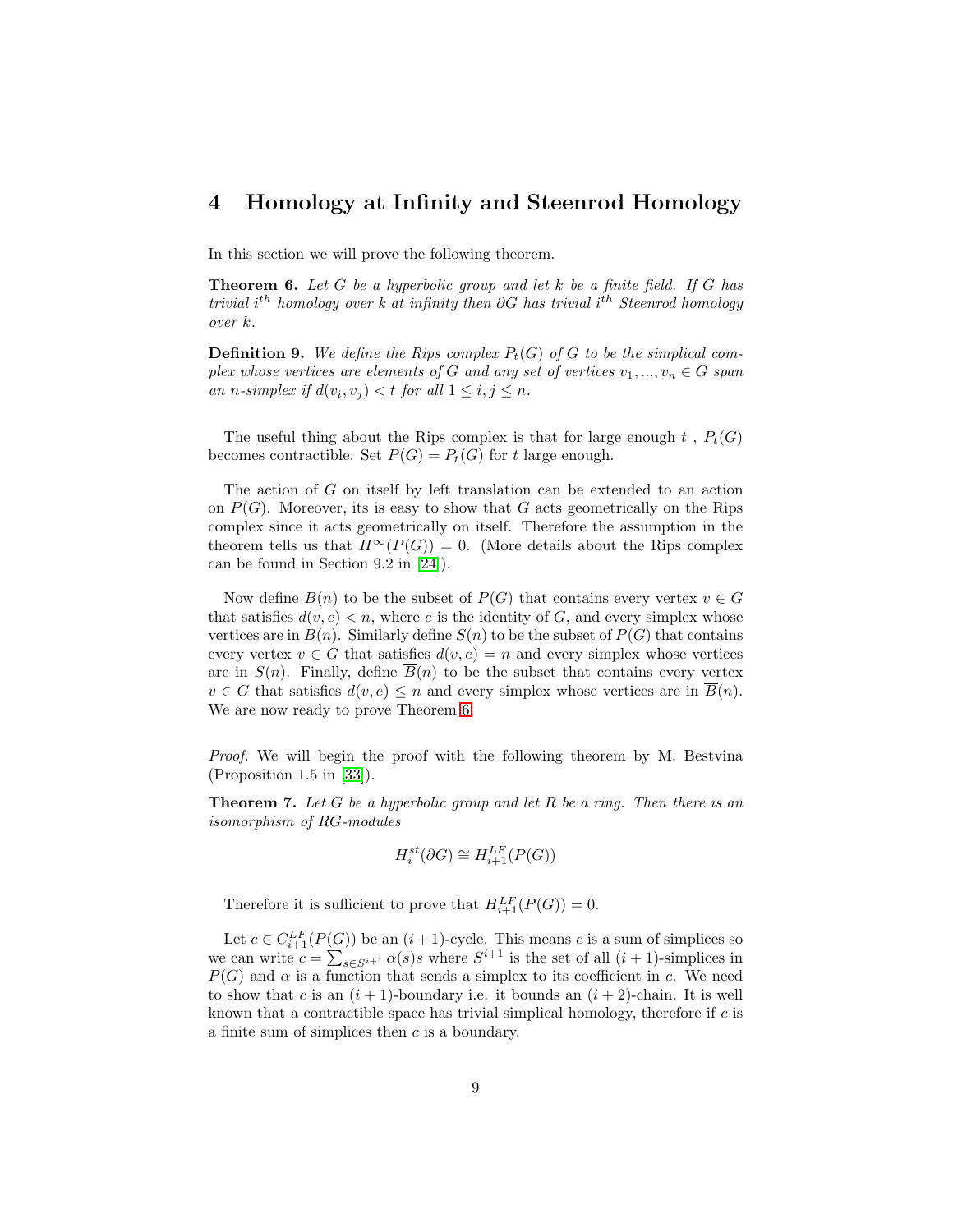## <span id="page-8-0"></span>4 Homology at Infinity and Steenrod Homology

In this section we will prove the following theorem.

<span id="page-8-2"></span>**Theorem 6.** Let  $G$  be a hyperbolic group and let  $k$  be a finite field. If  $G$  has trivial i<sup>th</sup> homology over k at infinity then ∂G has trivial i<sup>th</sup> Steenrod homology over k.

**Definition 9.** We define the Rips complex  $P_t(G)$  of G to be the simplical complex whose vertices are elements of G and any set of vertices  $v_1, ..., v_n \in G$  span an n-simplex if  $d(v_i, v_j) < t$  for all  $1 \leq i, j \leq n$ .

The useful thing about the Rips complex is that for large enough  $t$ ,  $P_t(G)$ becomes contractible. Set  $P(G) = P_t(G)$  for t large enough.

The action of G on itself by left translation can be extended to an action on  $P(G)$ . Moreover, its is easy to show that G acts geometrically on the Rips complex since it acts geometrically on itself. Therefore the assumption in the theorem tells us that  $H^{\infty}(P(G)) = 0$ . (More details about the Rips complex can be found in Section 9.2 in [\[24\]](#page-12-2)).

Now define  $B(n)$  to be the subset of  $P(G)$  that contains every vertex  $v \in G$ that satisfies  $d(v, e) < n$ , where e is the identity of G, and every simplex whose vertices are in  $B(n)$ . Similarly define  $S(n)$  to be the subset of  $P(G)$  that contains every vertex  $v \in G$  that satisfies  $d(v, e) = n$  and every simplex whose vertices are in  $S(n)$ . Finally, define  $\overline{B}(n)$  to be the subset that contains every vertex  $v \in G$  that satisfies  $d(v, e) \leq n$  and every simplex whose vertices are in  $\overline{B}(n)$ . We are now ready to prove Theorem [6.](#page-8-2)

Proof. We will begin the proof with the following theorem by M. Bestyina (Proposition 1.5 in [\[33\]](#page-12-1)).

<span id="page-8-1"></span>**Theorem 7.** Let G be a hyperbolic group and let R be a ring. Then there is an isomorphism of RG-modules

$$
H_i^{st}(\partial G) \cong H_{i+1}^{LF}(P(G))
$$

Therefore it is sufficient to prove that  $H_{i+1}^{LF}(P(G)) = 0$ .

Let  $c \in C_{i+1}^{LF}(P(G))$  be an  $(i+1)$ -cycle. This means c is a sum of simplices so we can write  $c = \sum_{s \in S^{i+1}} \alpha(s)s$  where  $S^{i+1}$  is the set of all  $(i + 1)$ -simplices in  $P(G)$  and  $\alpha$  is a function that sends a simplex to its coefficient in c. We need to show that c is an  $(i + 1)$ -boundary i.e. it bounds an  $(i + 2)$ -chain. It is well known that a contractible space has trivial simplical homology, therefore if  $c$  is a finite sum of simplices then  $c$  is a boundary.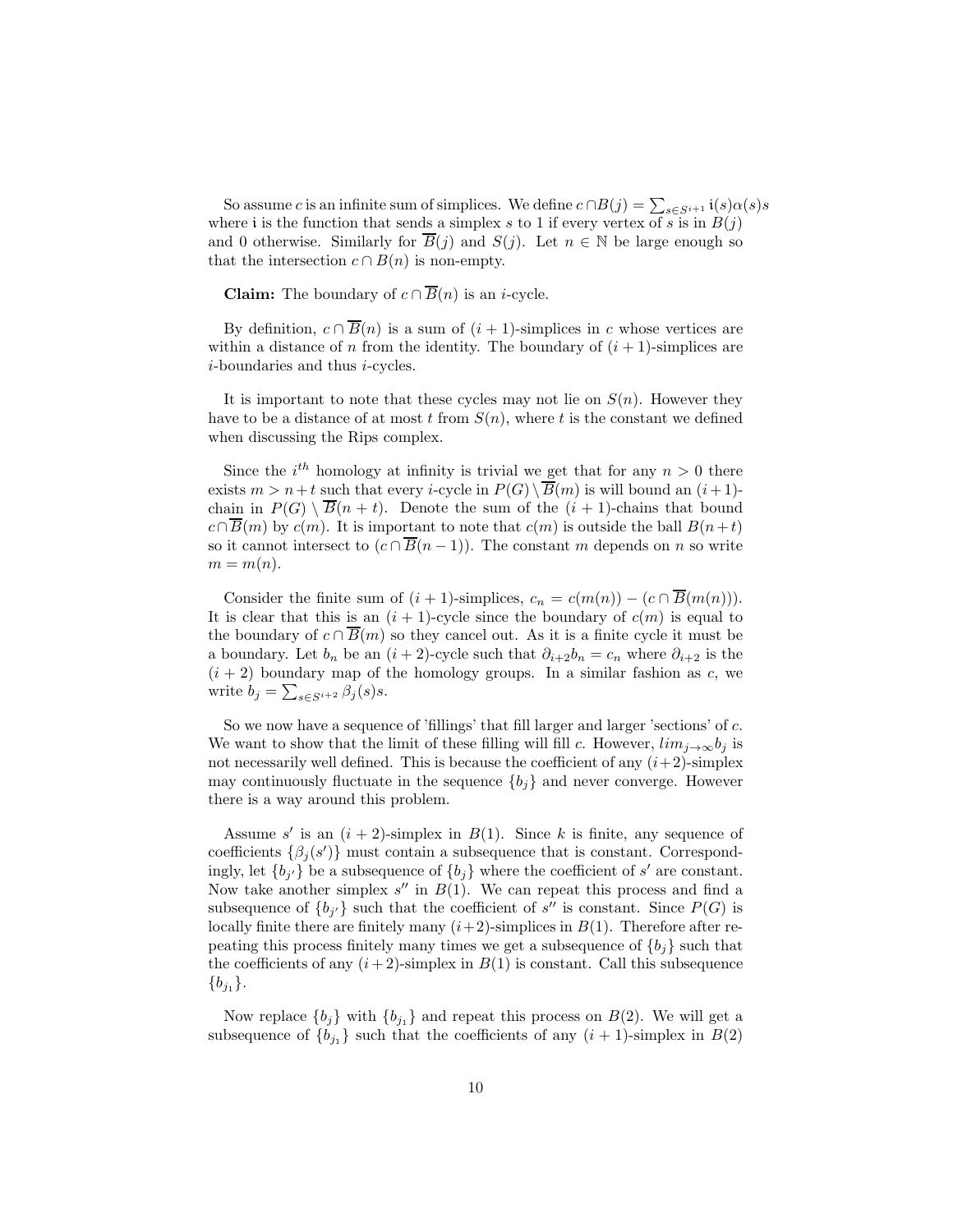So assume c is an infinite sum of simplices. We define  $c \cap B(j) = \sum_{s \in S^{i+1}} i(s) \alpha(s) s$ where i is the function that sends a simplex s to 1 if every vertex of s is in  $B(j)$ and 0 otherwise. Similarly for  $B(j)$  and  $S(j)$ . Let  $n \in \mathbb{N}$  be large enough so that the intersection  $c \cap B(n)$  is non-empty.

**Claim:** The boundary of  $c \cap \overline{B}(n)$  is an *i*-cycle.

By definition,  $c \cap \overline{B}(n)$  is a sum of  $(i + 1)$ -simplices in c whose vertices are within a distance of n from the identity. The boundary of  $(i + 1)$ -simplices are i-boundaries and thus i-cycles.

It is important to note that these cycles may not lie on  $S(n)$ . However they have to be a distance of at most t from  $S(n)$ , where t is the constant we defined when discussing the Rips complex.

Since the  $i^{th}$  homology at infinity is trivial we get that for any  $n > 0$  there exists  $m > n+t$  such that every *i*-cycle in  $P(G) \setminus \overline{B}(m)$  is will bound an  $(i+1)$ chain in  $P(G) \setminus \overline{B}(n + t)$ . Denote the sum of the  $(i + 1)$ -chains that bound  $c \cap \overline{B}(m)$  by  $c(m)$ . It is important to note that  $c(m)$  is outside the ball  $B(n+t)$ so it cannot intersect to  $(c \cap \overline{B}(n-1))$ . The constant m depends on n so write  $m = m(n)$ .

Consider the finite sum of  $(i + 1)$ -simplices,  $c_n = c(m(n)) - (c \cap \overline{B}(m(n))).$ It is clear that this is an  $(i + 1)$ -cycle since the boundary of  $c(m)$  is equal to the boundary of  $c \cap \overline{B}(m)$  so they cancel out. As it is a finite cycle it must be a boundary. Let  $b_n$  be an  $(i + 2)$ -cycle such that  $\partial_{i+2}b_n = c_n$  where  $\partial_{i+2}$  is the  $(i + 2)$  boundary map of the homology groups. In a similar fashion as c, we write  $b_j = \sum_{s \in S^{i+2}} \beta_j(s)s$ .

So we now have a sequence of 'fillings' that fill larger and larger 'sections' of c. We want to show that the limit of these filling will fill c. However,  $\lim_{j\to\infty} b_j$  is not necessarily well defined. This is because the coefficient of any  $(i+2)$ -simplex may continuously fluctuate in the sequence  ${b_j}$  and never converge. However there is a way around this problem.

Assume s' is an  $(i + 2)$ -simplex in  $B(1)$ . Since k is finite, any sequence of coefficients  $\{\beta_j(s')\}$  must contain a subsequence that is constant. Correspondingly, let  ${b_{j'}}$  be a subsequence of  ${b_j}$  where the coefficient of s' are constant. Now take another simplex  $s''$  in  $B(1)$ . We can repeat this process and find a subsequence of  ${b_{j'} }$  such that the coefficient of s'' is constant. Since  $P(G)$  is locally finite there are finitely many  $(i+2)$ -simplices in  $B(1)$ . Therefore after repeating this process finitely many times we get a subsequence of  ${b_i}$  such that the coefficients of any  $(i+2)$ -simplex in  $B(1)$  is constant. Call this subsequence  ${b_{j_1}}.$ 

Now replace  $\{b_j\}$  with  $\{b_{j_1}\}\$  and repeat this process on  $B(2)$ . We will get a subsequence of  $\{b_{j_1}\}\$  such that the coefficients of any  $(i + 1)$ -simplex in  $B(2)$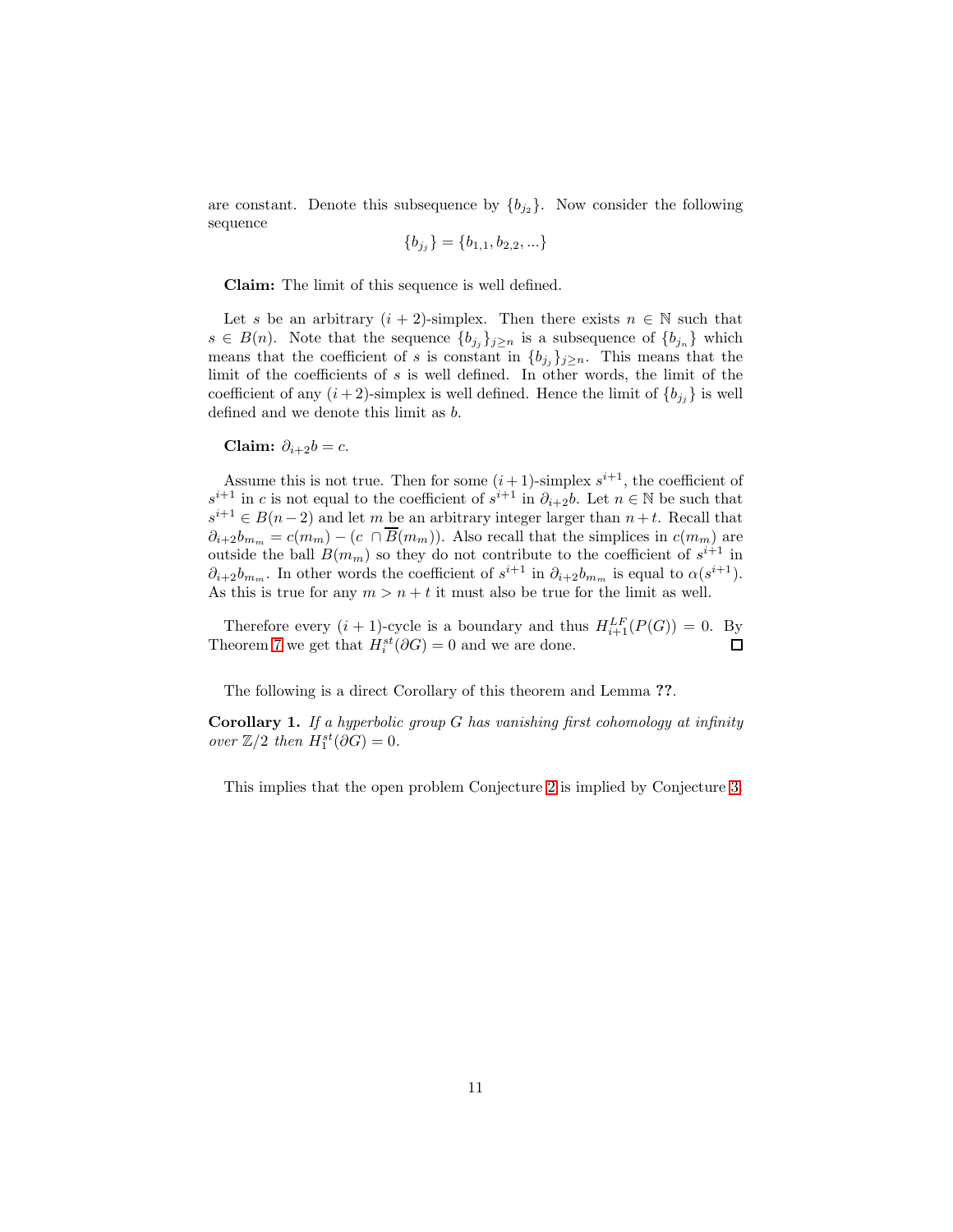are constant. Denote this subsequence by  $\{b_{j_2}\}\$ . Now consider the following sequence

$$
\{b_{j_j}\} = \{b_{1,1}, b_{2,2}, \ldots\}
$$

Claim: The limit of this sequence is well defined.

Let s be an arbitrary  $(i + 2)$ -simplex. Then there exists  $n \in \mathbb{N}$  such that  $s \in B(n)$ . Note that the sequence  ${b_{j_j}}_{j \geq n}$  is a subsequence of  ${b_{j_n}}$  which means that the coefficient of s is constant in  ${b_{j}}_{j}$ <sub>j</sub> $\geq n$ . This means that the limit of the coefficients of s is well defined. In other words, the limit of the coefficient of any  $(i + 2)$ -simplex is well defined. Hence the limit of  ${b_{j_i}}$  is well defined and we denote this limit as b.

Claim:  $\partial_{i+2}b = c$ .

Assume this is not true. Then for some  $(i+1)$ -simplex  $s^{i+1}$ , the coefficient of  $s^{i+1}$  in c is not equal to the coefficient of  $s^{i+1}$  in  $\partial_{i+2}b$ . Let  $n \in \mathbb{N}$  be such that  $s^{i+1} \in B(n-2)$  and let m be an arbitrary integer larger than  $n+t$ . Recall that  $\partial_{i+2}b_{m_m} = c(m_m) - (c \cap \overline{B}(m_m))$ . Also recall that the simplices in  $c(m_m)$  are outside the ball  $B(m_m)$  so they do not contribute to the coefficient of  $s^{i+1}$  in  $\partial_{i+2}b_{m_m}$ . In other words the coefficient of  $s^{i+1}$  in  $\partial_{i+2}b_{m_m}$  is equal to  $\alpha(s^{i+1})$ . As this is true for any  $m > n + t$  it must also be true for the limit as well.

Therefore every  $(i + 1)$ -cycle is a boundary and thus  $H_{i+1}^{LF}(P(G)) = 0$ . By Theorem [7](#page-8-1) we get that  $H_i^{st}(\partial G) = 0$  and we are done.

The following is a direct Corollary of this theorem and Lemma ??.

**Corollary 1.** If a hyperbolic group  $G$  has vanishing first cohomology at infinity over  $\mathbb{Z}/2$  then  $H_1^{st}(\partial G) = 0$ .

This implies that the open problem Conjecture [2](#page-1-0) is implied by Conjecture [3.](#page-1-1)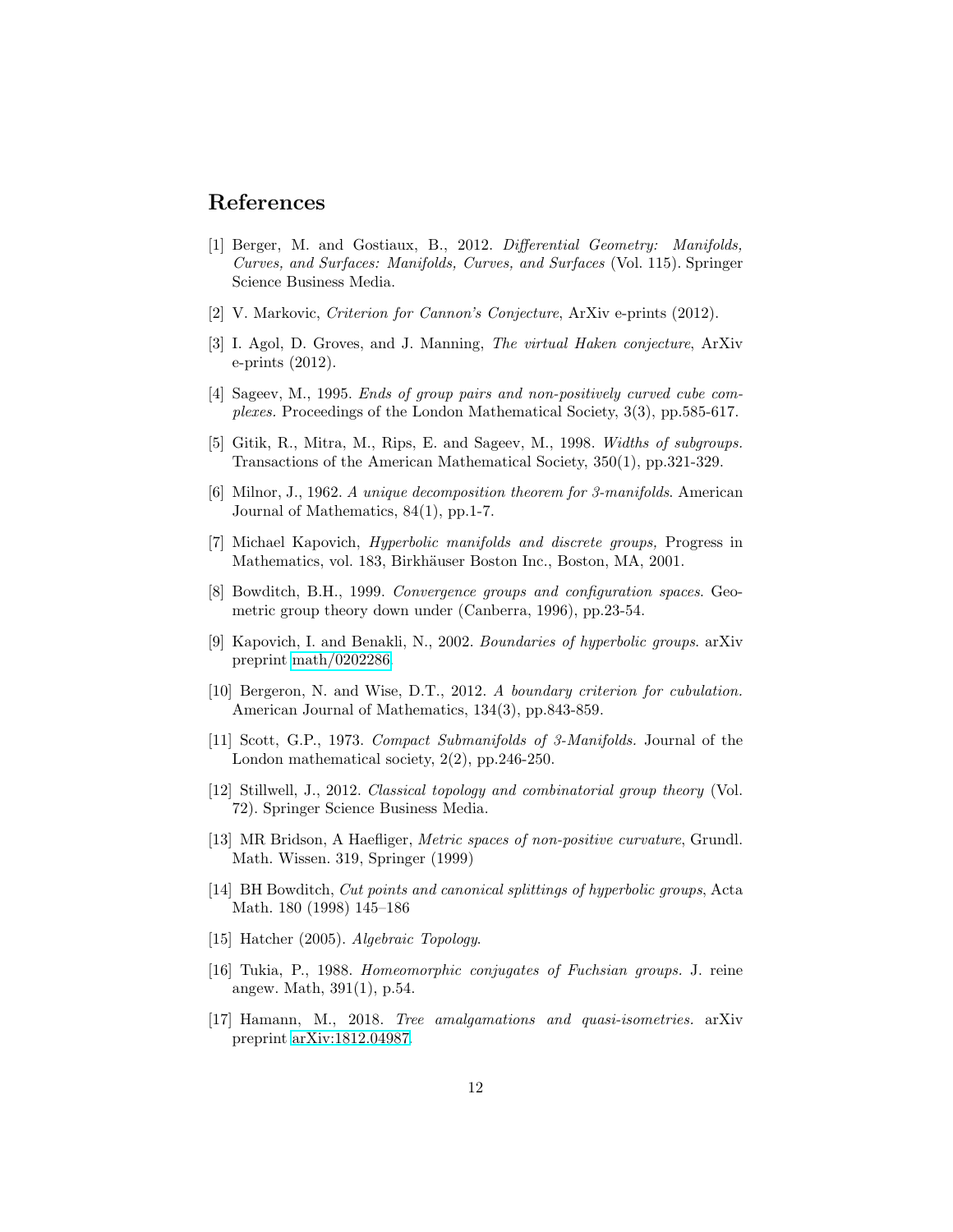## References

- [1] Berger, M. and Gostiaux, B., 2012. Differential Geometry: Manifolds, Curves, and Surfaces: Manifolds, Curves, and Surfaces (Vol. 115). Springer Science Business Media.
- <span id="page-11-0"></span>[2] V. Markovic, *Criterion for Cannon's Conjecture*, ArXiv e-prints (2012).
- [3] I. Agol, D. Groves, and J. Manning, The virtual Haken conjecture, ArXiv e-prints (2012).
- [4] Sageev, M., 1995. Ends of group pairs and non-positively curved cube complexes. Proceedings of the London Mathematical Society, 3(3), pp.585-617.
- [5] Gitik, R., Mitra, M., Rips, E. and Sageev, M., 1998. Widths of subgroups. Transactions of the American Mathematical Society, 350(1), pp.321-329.
- [6] Milnor, J., 1962. A unique decomposition theorem for 3-manifolds. American Journal of Mathematics, 84(1), pp.1-7.
- [7] Michael Kapovich, Hyperbolic manifolds and discrete groups, Progress in Mathematics, vol. 183, Birkhäuser Boston Inc., Boston, MA, 2001.
- [8] Bowditch, B.H., 1999. Convergence groups and configuration spaces. Geometric group theory down under (Canberra, 1996), pp.23-54.
- [9] Kapovich, I. and Benakli, N., 2002. Boundaries of hyperbolic groups. arXiv preprint [math/0202286.](http://arxiv.org/abs/math/0202286)
- [10] Bergeron, N. and Wise, D.T., 2012. A boundary criterion for cubulation. American Journal of Mathematics, 134(3), pp.843-859.
- [11] Scott, G.P., 1973. Compact Submanifolds of 3-Manifolds. Journal of the London mathematical society, 2(2), pp.246-250.
- [12] Stillwell, J., 2012. Classical topology and combinatorial group theory (Vol. 72). Springer Science Business Media.
- [13] MR Bridson, A Haefliger, *Metric spaces of non-positive curvature*, Grundl. Math. Wissen. 319, Springer (1999)
- [14] BH Bowditch, Cut points and canonical splittings of hyperbolic groups, Acta Math. 180 (1998) 145–186
- <span id="page-11-1"></span>[15] Hatcher (2005). Algebraic Topology.
- [16] Tukia, P., 1988. Homeomorphic conjugates of Fuchsian groups. J. reine angew. Math, 391(1), p.54.
- [17] Hamann, M., 2018. Tree amalgamations and quasi-isometries. arXiv preprint [arXiv:1812.04987.](http://arxiv.org/abs/1812.04987)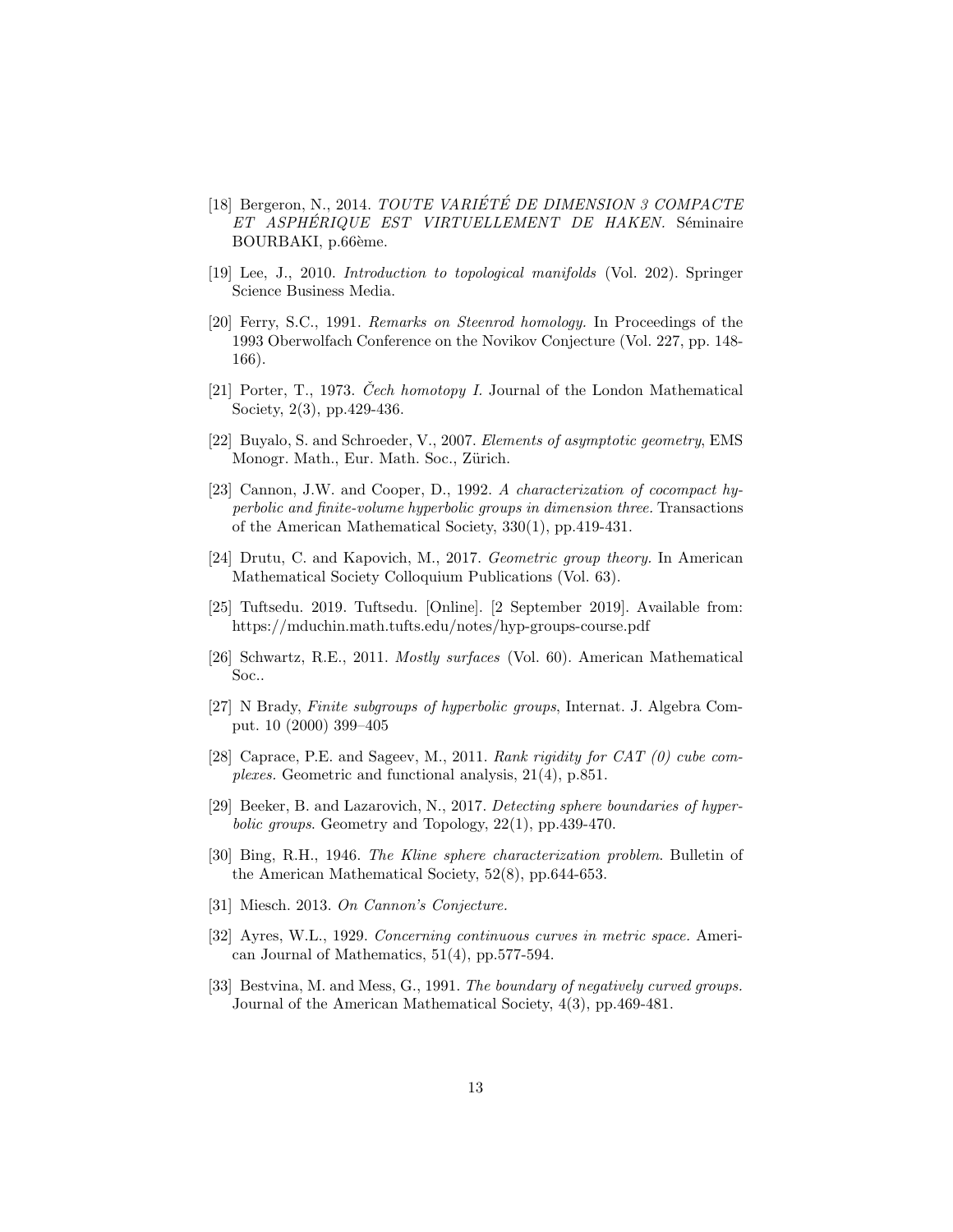- [18] Bergeron, N., 2014. TOUTE VARIÉTÉ DE DIMENSION 3 COMPACTE ET ASPHÉRIQUE EST VIRTUELLEMENT DE HAKEN. Séminaire BOURBAKI, p.66ème.
- [19] Lee, J., 2010. Introduction to topological manifolds (Vol. 202). Springer Science Business Media.
- [20] Ferry, S.C., 1991. Remarks on Steenrod homology. In Proceedings of the 1993 Oberwolfach Conference on the Novikov Conjecture (Vol. 227, pp. 148- 166).
- [21] Porter, T., 1973. Cech homotopy I. Journal of the London Mathematical Society, 2(3), pp.429-436.
- [22] Buyalo, S. and Schroeder, V., 2007. Elements of asymptotic geometry, EMS Monogr. Math., Eur. Math. Soc., Zürich.
- [23] Cannon, J.W. and Cooper, D., 1992. A characterization of cocompact hyperbolic and finite-volume hyperbolic groups in dimension three. Transactions of the American Mathematical Society, 330(1), pp.419-431.
- <span id="page-12-2"></span>[24] Drutu, C. and Kapovich, M., 2017. Geometric group theory. In American Mathematical Society Colloquium Publications (Vol. 63).
- [25] Tuftsedu. 2019. Tuftsedu. [Online]. [2 September 2019]. Available from: https://mduchin.math.tufts.edu/notes/hyp-groups-course.pdf
- [26] Schwartz, R.E., 2011. Mostly surfaces (Vol. 60). American Mathematical Soc..
- [27] N Brady, Finite subgroups of hyperbolic groups, Internat. J. Algebra Comput. 10 (2000) 399–405
- [28] Caprace, P.E. and Sageev, M., 2011. Rank rigidity for CAT (0) cube complexes. Geometric and functional analysis, 21(4), p.851.
- <span id="page-12-0"></span>[29] Beeker, B. and Lazarovich, N., 2017. Detecting sphere boundaries of hyperbolic groups. Geometry and Topology, 22(1), pp.439-470.
- [30] Bing, R.H., 1946. The Kline sphere characterization problem. Bulletin of the American Mathematical Society, 52(8), pp.644-653.
- [31] Miesch. 2013. On Cannon's Conjecture.
- [32] Ayres, W.L., 1929. Concerning continuous curves in metric space. American Journal of Mathematics, 51(4), pp.577-594.
- <span id="page-12-1"></span>[33] Bestvina, M. and Mess, G., 1991. The boundary of negatively curved groups. Journal of the American Mathematical Society, 4(3), pp.469-481.